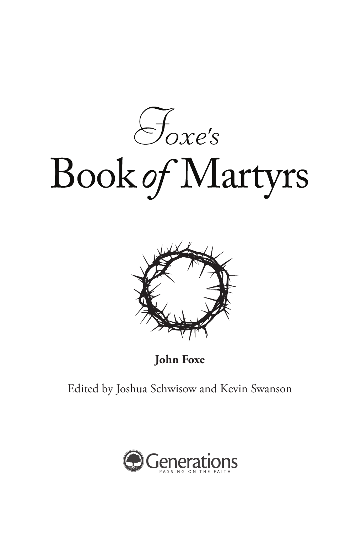$\mathcal{F}_{\text{oxe's}}$ Book of Martyrs



**John Foxe**

Edited by Joshua Schwisow and Kevin Swanson

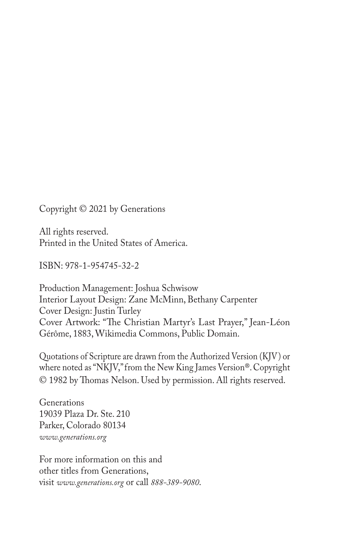Copyright © 2021 by Generations

All rights reserved. Printed in the United States of America.

ISBN: 978-1-954745-32-2

Production Management: Joshua Schwisow Interior Layout Design: Zane McMinn, Bethany Carpenter Cover Design: Justin Turley Cover Artwork: "The Christian Martyr's Last Prayer," Jean-Léon Gérôme, 1883, Wikimedia Commons, Public Domain.

Quotations of Scripture are drawn from the Authorized Version (KJV) or where noted as "NKJV," from the New King James Version®. Copyright © 1982 by Thomas Nelson. Used by permission. All rights reserved.

Generations 19039 Plaza Dr. Ste. 210 Parker, Colorado 80134 *www.generations.org*

For more information on this and other titles from Generations, visit *www.generations.org* or call *888-389-9080*.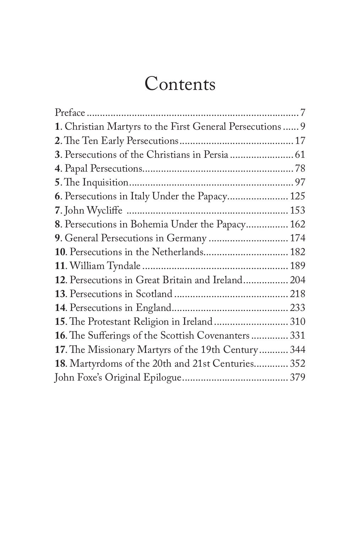## Contents

| 1. Christian Martyrs to the First General Persecutions  9 |     |
|-----------------------------------------------------------|-----|
|                                                           |     |
| 3. Persecutions of the Christians in Persia  61           |     |
|                                                           |     |
|                                                           |     |
| 6. Persecutions in Italy Under the Papacy 125             |     |
|                                                           |     |
| 8. Persecutions in Bohemia Under the Papacy 162           |     |
| 9. General Persecutions in Germany  174                   |     |
| 10. Persecutions in the Netherlands 182                   |     |
|                                                           |     |
| 12. Persecutions in Great Britain and Ireland 204         |     |
|                                                           |     |
|                                                           |     |
| 15. The Protestant Religion in Ireland 310                |     |
| 16. The Sufferings of the Scottish Covenanters 331        |     |
| 17. The Missionary Martyrs of the 19th Century            | 344 |
| 18. Martyrdoms of the 20th and 21st Centuries 352         |     |
|                                                           |     |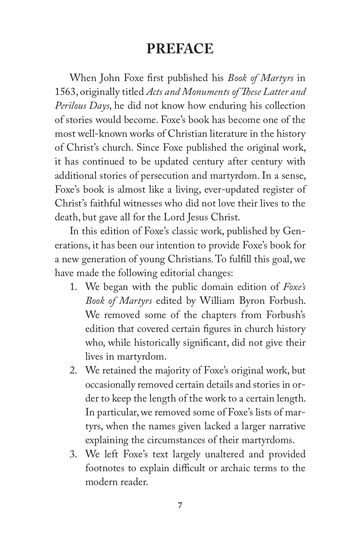## **PREFACE**

When John Foxe first published his *Book of Martyrs* in 1563, originally titled *Acts and Monuments of These Latter and Perilous Days*, he did not know how enduring his collection of stories would become. Foxe's book has become one of the most well-known works of Christian literature in the history of Christ's church. Since Foxe published the original work, it has continued to be updated century after century with additional stories of persecution and martyrdom. In a sense, Foxe's book is almost like a living, ever-updated register of Christ's faithful witnesses who did not love their lives to the death, but gave all for the Lord Jesus Christ.

In this edition of Foxe's classic work, published by Generations, it has been our intention to provide Foxe's book for a new generation of young Christians. To fulfill this goal, we have made the following editorial changes:

- 1. We began with the public domain edition of *Foxe's Book of Martyrs* edited by William Byron Forbush. We removed some of the chapters from Forbush's edition that covered certain figures in church history who, while historically significant, did not give their lives in martyrdom.
- 2. We retained the majority of Foxe's original work, but occasionally removed certain details and stories in order to keep the length of the work to a certain length. In particular, we removed some of Foxe's lists of martyrs, when the names given lacked a larger narrative explaining the circumstances of their martyrdoms.
- 3. We left Foxe's text largely unaltered and provided footnotes to explain difficult or archaic terms to the modern reader.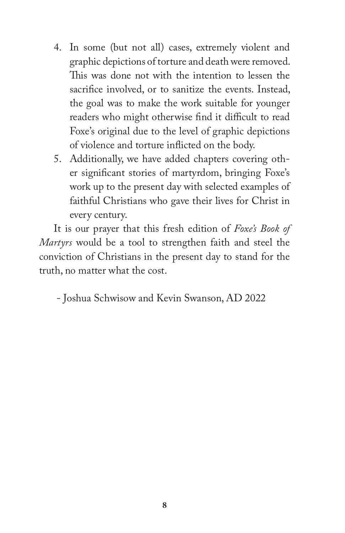- 4. In some (but not all) cases, extremely violent and graphic depictions of torture and death were removed. This was done not with the intention to lessen the sacrifice involved, or to sanitize the events. Instead, the goal was to make the work suitable for younger readers who might otherwise find it difficult to read Foxe's original due to the level of graphic depictions of violence and torture inflicted on the body.
- 5. Additionally, we have added chapters covering other significant stories of martyrdom, bringing Foxe's work up to the present day with selected examples of faithful Christians who gave their lives for Christ in every century.

It is our prayer that this fresh edition of *Foxe's Book of Martyrs* would be a tool to strengthen faith and steel the conviction of Christians in the present day to stand for the truth, no matter what the cost.

- Joshua Schwisow and Kevin Swanson, AD 2022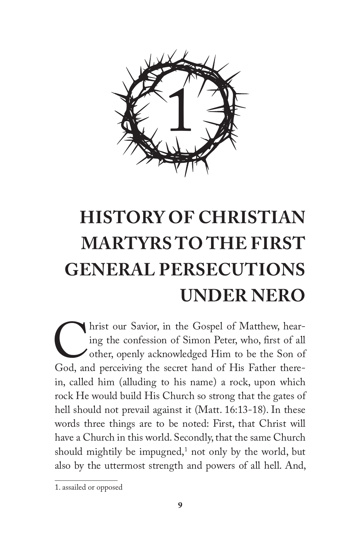

# **HISTORY OF CHRISTIAN MARTYRS TO THE FIRST GENERAL PERSECUTIONS UNDER NERO**

Inst our Savior, in the Gospel of Matthew, hearing the confession of Simon Peter, who, first of all other, openly acknowledged Him to be the Son of God, and perceiving the secret hand of His Father thereing the confession of Simon Peter, who, first of all other, openly acknowledged Him to be the Son of in, called him (alluding to his name) a rock, upon which rock He would build His Church so strong that the gates of hell should not prevail against it (Matt. 16:13-18). In these words three things are to be noted: First, that Christ will have a Church in this world. Secondly, that the same Church should mightily be impugned, $^1$  not only by the world, but also by the uttermost strength and powers of all hell. And,

<sup>1.</sup> assailed or opposed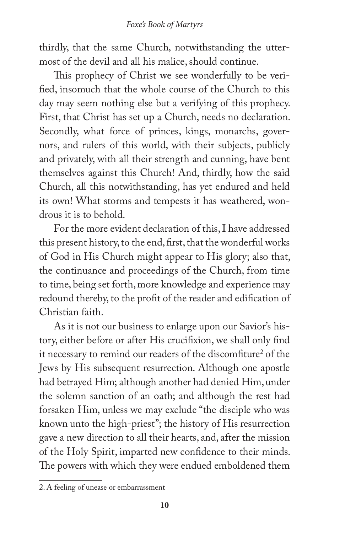thirdly, that the same Church, notwithstanding the uttermost of the devil and all his malice, should continue.

This prophecy of Christ we see wonderfully to be verified, insomuch that the whole course of the Church to this day may seem nothing else but a verifying of this prophecy. First, that Christ has set up a Church, needs no declaration. Secondly, what force of princes, kings, monarchs, governors, and rulers of this world, with their subjects, publicly and privately, with all their strength and cunning, have bent themselves against this Church! And, thirdly, how the said Church, all this notwithstanding, has yet endured and held its own! What storms and tempests it has weathered, wondrous it is to behold.

For the more evident declaration of this, I have addressed this present history, to the end, first, that the wonderful works of God in His Church might appear to His glory; also that, the continuance and proceedings of the Church, from time to time, being set forth, more knowledge and experience may redound thereby, to the profit of the reader and edification of Christian faith.

As it is not our business to enlarge upon our Savior's history, either before or after His crucifixion, we shall only find it necessary to remind our readers of the discomfiture<sup>2</sup> of the Jews by His subsequent resurrection. Although one apostle had betrayed Him; although another had denied Him, under the solemn sanction of an oath; and although the rest had forsaken Him, unless we may exclude "the disciple who was known unto the high-priest"; the history of His resurrection gave a new direction to all their hearts, and, after the mission of the Holy Spirit, imparted new confidence to their minds. The powers with which they were endued emboldened them

<sup>2.</sup> A feeling of unease or embarrassment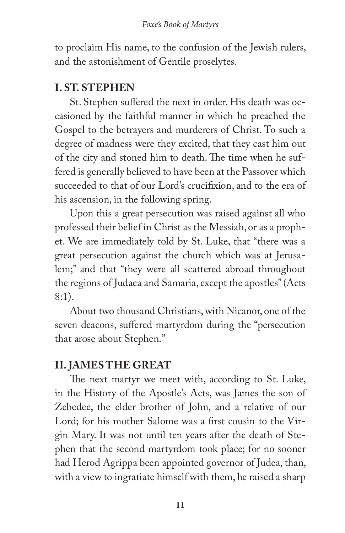to proclaim His name, to the confusion of the Jewish rulers, and the astonishment of Gentile proselytes.

#### **I. ST. STEPHEN**

St. Stephen suffered the next in order. His death was occasioned by the faithful manner in which he preached the Gospel to the betrayers and murderers of Christ. To such a degree of madness were they excited, that they cast him out of the city and stoned him to death. The time when he suffered is generally believed to have been at the Passover which succeeded to that of our Lord's crucifixion, and to the era of his ascension, in the following spring.

Upon this a great persecution was raised against all who professed their belief in Christ as the Messiah, or as a prophet. We are immediately told by St. Luke, that "there was a great persecution against the church which was at Jerusalem;" and that "they were all scattered abroad throughout the regions of Judaea and Samaria, except the apostles" (Acts 8:1).

About two thousand Christians, with Nicanor, one of the seven deacons, suffered martyrdom during the "persecution that arose about Stephen."

#### **II. JAMES THE GREAT**

The next martyr we meet with, according to St. Luke, in the History of the Apostle's Acts, was James the son of Zebedee, the elder brother of John, and a relative of our Lord; for his mother Salome was a first cousin to the Virgin Mary. It was not until ten years after the death of Stephen that the second martyrdom took place; for no sooner had Herod Agrippa been appointed governor of Judea, than, with a view to ingratiate himself with them, he raised a sharp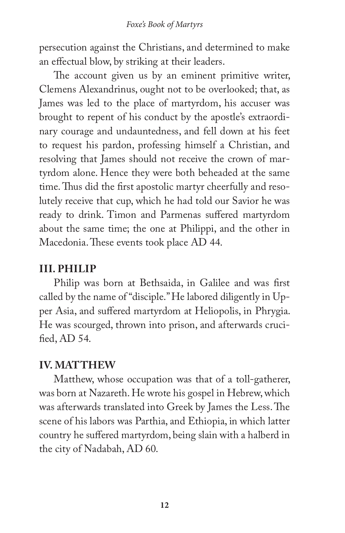persecution against the Christians, and determined to make an effectual blow, by striking at their leaders.

The account given us by an eminent primitive writer, Clemens Alexandrinus, ought not to be overlooked; that, as James was led to the place of martyrdom, his accuser was brought to repent of his conduct by the apostle's extraordinary courage and undauntedness, and fell down at his feet to request his pardon, professing himself a Christian, and resolving that James should not receive the crown of martyrdom alone. Hence they were both beheaded at the same time. Thus did the first apostolic martyr cheerfully and resolutely receive that cup, which he had told our Savior he was ready to drink. Timon and Parmenas suffered martyrdom about the same time; the one at Philippi, and the other in Macedonia. These events took place AD 44.

#### **III. PHILIP**

Philip was born at Bethsaida, in Galilee and was first called by the name of "disciple." He labored diligently in Upper Asia, and suffered martyrdom at Heliopolis, in Phrygia. He was scourged, thrown into prison, and afterwards crucified, AD 54.

#### **IV. MATTHEW**

Matthew, whose occupation was that of a toll-gatherer, was born at Nazareth. He wrote his gospel in Hebrew, which was afterwards translated into Greek by James the Less. The scene of his labors was Parthia, and Ethiopia, in which latter country he suffered martyrdom, being slain with a halberd in the city of Nadabah, AD 60.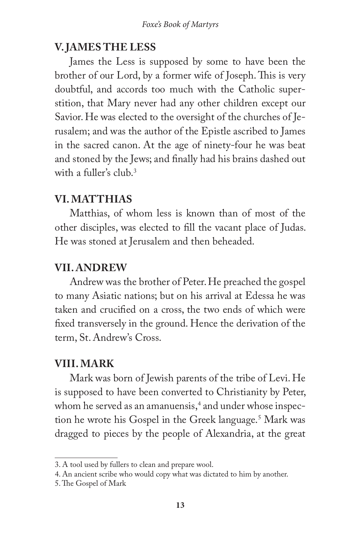#### **V. JAMES THE LESS**

James the Less is supposed by some to have been the brother of our Lord, by a former wife of Joseph. This is very doubtful, and accords too much with the Catholic superstition, that Mary never had any other children except our Savior. He was elected to the oversight of the churches of Jerusalem; and was the author of the Epistle ascribed to James in the sacred canon. At the age of ninety-four he was beat and stoned by the Jews; and finally had his brains dashed out with a fuller's club.3

#### **VI. MATTHIAS**

Matthias, of whom less is known than of most of the other disciples, was elected to fill the vacant place of Judas. He was stoned at Jerusalem and then beheaded.

#### **VII. ANDREW**

Andrew was the brother of Peter. He preached the gospel to many Asiatic nations; but on his arrival at Edessa he was taken and crucified on a cross, the two ends of which were fixed transversely in the ground. Hence the derivation of the term, St. Andrew's Cross.

#### **VIII. MARK**

Mark was born of Jewish parents of the tribe of Levi. He is supposed to have been converted to Christianity by Peter, whom he served as an amanuensis,<sup>4</sup> and under whose inspection he wrote his Gospel in the Greek language.<sup>5</sup> Mark was dragged to pieces by the people of Alexandria, at the great

<sup>3.</sup> A tool used by fullers to clean and prepare wool.

<sup>4.</sup> An ancient scribe who would copy what was dictated to him by another.

<sup>5.</sup> The Gospel of Mark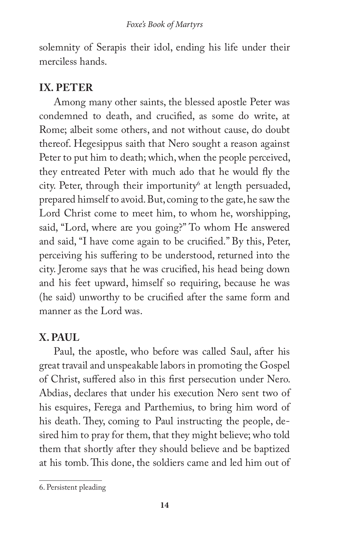solemnity of Serapis their idol, ending his life under their merciless hands.

#### **IX. PETER**

Among many other saints, the blessed apostle Peter was condemned to death, and crucified, as some do write, at Rome; albeit some others, and not without cause, do doubt thereof. Hegesippus saith that Nero sought a reason against Peter to put him to death; which, when the people perceived, they entreated Peter with much ado that he would fly the city. Peter, through their importunity<sup>6</sup> at length persuaded, prepared himself to avoid. But, coming to the gate, he saw the Lord Christ come to meet him, to whom he, worshipping, said, "Lord, where are you going?" To whom He answered and said, "I have come again to be crucified." By this, Peter, perceiving his suffering to be understood, returned into the city. Jerome says that he was crucified, his head being down and his feet upward, himself so requiring, because he was (he said) unworthy to be crucified after the same form and manner as the Lord was.

#### **X. PAUL**

Paul, the apostle, who before was called Saul, after his great travail and unspeakable labors in promoting the Gospel of Christ, suffered also in this first persecution under Nero. Abdias, declares that under his execution Nero sent two of his esquires, Ferega and Parthemius, to bring him word of his death. They, coming to Paul instructing the people, desired him to pray for them, that they might believe; who told them that shortly after they should believe and be baptized at his tomb. This done, the soldiers came and led him out of

<sup>6.</sup> Persistent pleading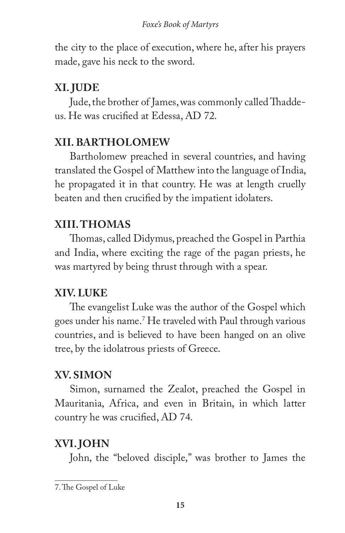the city to the place of execution, where he, after his prayers made, gave his neck to the sword.

## **XI. JUDE**

Jude, the brother of James, was commonly called Thaddeus. He was crucified at Edessa, AD 72.

### **XII. BARTHOLOMEW**

Bartholomew preached in several countries, and having translated the Gospel of Matthew into the language of India, he propagated it in that country. He was at length cruelly beaten and then crucified by the impatient idolaters.

#### **XIII. THOMAS**

Thomas, called Didymus, preached the Gospel in Parthia and India, where exciting the rage of the pagan priests, he was martyred by being thrust through with a spear.

#### **XIV. LUKE**

The evangelist Luke was the author of the Gospel which goes under his name.7 He traveled with Paul through various countries, and is believed to have been hanged on an olive tree, by the idolatrous priests of Greece.

### **XV. SIMON**

Simon, surnamed the Zealot, preached the Gospel in Mauritania, Africa, and even in Britain, in which latter country he was crucified, AD 74.

### **XVI. JOHN**

John, the "beloved disciple," was brother to James the

<sup>7.</sup> The Gospel of Luke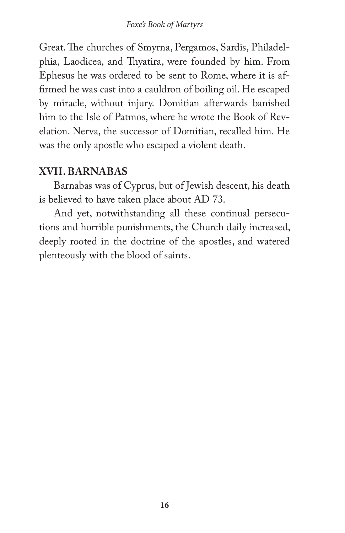Great. The churches of Smyrna, Pergamos, Sardis, Philadelphia, Laodicea, and Thyatira, were founded by him. From Ephesus he was ordered to be sent to Rome, where it is affirmed he was cast into a cauldron of boiling oil. He escaped by miracle, without injury. Domitian afterwards banished him to the Isle of Patmos, where he wrote the Book of Revelation. Nerva, the successor of Domitian, recalled him. He was the only apostle who escaped a violent death.

#### **XVII. BARNABAS**

Barnabas was of Cyprus, but of Jewish descent, his death is believed to have taken place about AD 73.

And yet, notwithstanding all these continual persecutions and horrible punishments, the Church daily increased, deeply rooted in the doctrine of the apostles, and watered plenteously with the blood of saints.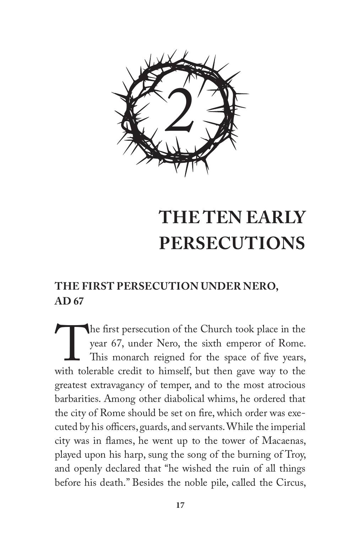

## **THE TEN EARLY PERSECUTIONS**

### **THE FIRST PERSECUTION UNDER NERO, AD 67**

The first persecution of the Church took place in the year 67, under Nero, the sixth emperor of Rome.<br>This monarch reigned for the space of five years, with tolerable credit to himself, but then gave way to the year 67, under Nero, the sixth emperor of Rome. This monarch reigned for the space of five years, greatest extravagancy of temper, and to the most atrocious barbarities. Among other diabolical whims, he ordered that the city of Rome should be set on fire, which order was executed by his officers, guards, and servants. While the imperial city was in flames, he went up to the tower of Macaenas, played upon his harp, sung the song of the burning of Troy, and openly declared that "he wished the ruin of all things before his death." Besides the noble pile, called the Circus,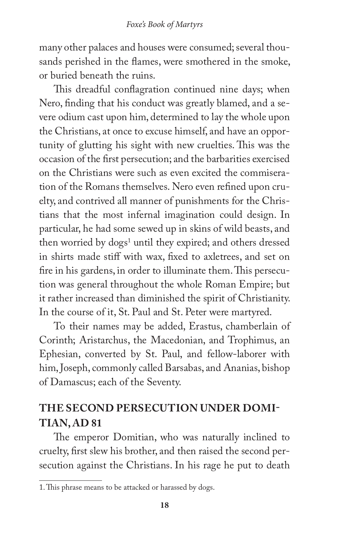many other palaces and houses were consumed; several thousands perished in the flames, were smothered in the smoke, or buried beneath the ruins.

This dreadful conflagration continued nine days; when Nero, finding that his conduct was greatly blamed, and a severe odium cast upon him, determined to lay the whole upon the Christians, at once to excuse himself, and have an opportunity of glutting his sight with new cruelties. This was the occasion of the first persecution; and the barbarities exercised on the Christians were such as even excited the commiseration of the Romans themselves. Nero even refined upon cruelty, and contrived all manner of punishments for the Christians that the most infernal imagination could design. In particular, he had some sewed up in skins of wild beasts, and then worried by dogs<sup>1</sup> until they expired; and others dressed in shirts made stiff with wax, fixed to axletrees, and set on fire in his gardens, in order to illuminate them. This persecution was general throughout the whole Roman Empire; but it rather increased than diminished the spirit of Christianity. In the course of it, St. Paul and St. Peter were martyred.

To their names may be added, Erastus, chamberlain of Corinth; Aristarchus, the Macedonian, and Trophimus, an Ephesian, converted by St. Paul, and fellow-laborer with him, Joseph, commonly called Barsabas, and Ananias, bishop of Damascus; each of the Seventy.

#### **THE SECOND PERSECUTION UNDER DOMI-TIAN, AD 81**

The emperor Domitian, who was naturally inclined to cruelty, first slew his brother, and then raised the second persecution against the Christians. In his rage he put to death

<sup>1.</sup> This phrase means to be attacked or harassed by dogs.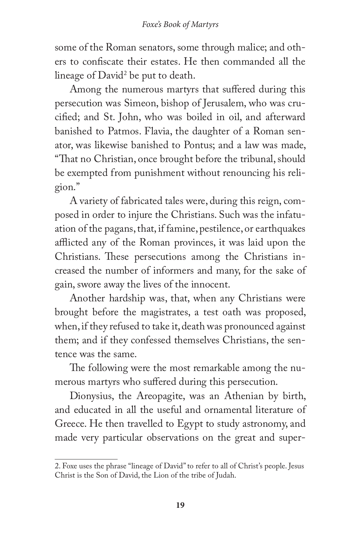some of the Roman senators, some through malice; and others to confiscate their estates. He then commanded all the lineage of David<sup>2</sup> be put to death.

Among the numerous martyrs that suffered during this persecution was Simeon, bishop of Jerusalem, who was crucified; and St. John, who was boiled in oil, and afterward banished to Patmos. Flavia, the daughter of a Roman senator, was likewise banished to Pontus; and a law was made, "That no Christian, once brought before the tribunal, should be exempted from punishment without renouncing his religion."

A variety of fabricated tales were, during this reign, composed in order to injure the Christians. Such was the infatuation of the pagans, that, if famine, pestilence, or earthquakes afflicted any of the Roman provinces, it was laid upon the Christians. These persecutions among the Christians increased the number of informers and many, for the sake of gain, swore away the lives of the innocent.

Another hardship was, that, when any Christians were brought before the magistrates, a test oath was proposed, when, if they refused to take it, death was pronounced against them; and if they confessed themselves Christians, the sentence was the same.

The following were the most remarkable among the numerous martyrs who suffered during this persecution.

Dionysius, the Areopagite, was an Athenian by birth, and educated in all the useful and ornamental literature of Greece. He then travelled to Egypt to study astronomy, and made very particular observations on the great and super-

<sup>2.</sup> Foxe uses the phrase "lineage of David" to refer to all of Christ's people. Jesus Christ is the Son of David, the Lion of the tribe of Judah.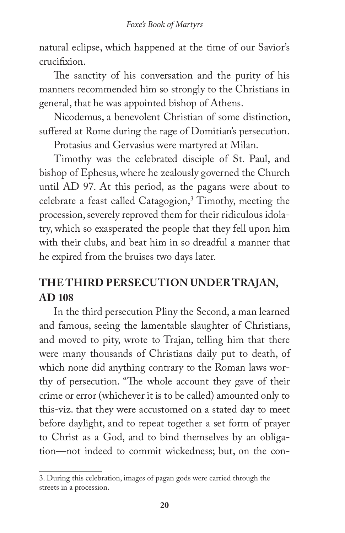natural eclipse, which happened at the time of our Savior's crucifixion.

The sanctity of his conversation and the purity of his manners recommended him so strongly to the Christians in general, that he was appointed bishop of Athens.

Nicodemus, a benevolent Christian of some distinction, suffered at Rome during the rage of Domitian's persecution.

Protasius and Gervasius were martyred at Milan.

Timothy was the celebrated disciple of St. Paul, and bishop of Ephesus, where he zealously governed the Church until AD 97. At this period, as the pagans were about to celebrate a feast called Catagogion,<sup>3</sup> Timothy, meeting the procession, severely reproved them for their ridiculous idolatry, which so exasperated the people that they fell upon him with their clubs, and beat him in so dreadful a manner that he expired from the bruises two days later.

## **THE THIRD PERSECUTION UNDER TRAJAN, AD 108**

In the third persecution Pliny the Second, a man learned and famous, seeing the lamentable slaughter of Christians, and moved to pity, wrote to Trajan, telling him that there were many thousands of Christians daily put to death, of which none did anything contrary to the Roman laws worthy of persecution. "The whole account they gave of their crime or error (whichever it is to be called) amounted only to this-viz. that they were accustomed on a stated day to meet before daylight, and to repeat together a set form of prayer to Christ as a God, and to bind themselves by an obligation—not indeed to commit wickedness; but, on the con-

<sup>3.</sup> During this celebration, images of pagan gods were carried through the streets in a procession.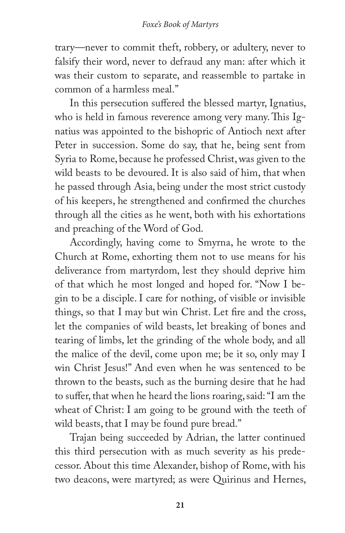trary—never to commit theft, robbery, or adultery, never to falsify their word, never to defraud any man: after which it was their custom to separate, and reassemble to partake in common of a harmless meal."

In this persecution suffered the blessed martyr, Ignatius, who is held in famous reverence among very many. This Ignatius was appointed to the bishopric of Antioch next after Peter in succession. Some do say, that he, being sent from Syria to Rome, because he professed Christ, was given to the wild beasts to be devoured. It is also said of him, that when he passed through Asia, being under the most strict custody of his keepers, he strengthened and confirmed the churches through all the cities as he went, both with his exhortations and preaching of the Word of God.

Accordingly, having come to Smyrna, he wrote to the Church at Rome, exhorting them not to use means for his deliverance from martyrdom, lest they should deprive him of that which he most longed and hoped for. "Now I begin to be a disciple. I care for nothing, of visible or invisible things, so that I may but win Christ. Let fire and the cross, let the companies of wild beasts, let breaking of bones and tearing of limbs, let the grinding of the whole body, and all the malice of the devil, come upon me; be it so, only may I win Christ Jesus!" And even when he was sentenced to be thrown to the beasts, such as the burning desire that he had to suffer, that when he heard the lions roaring, said: "I am the wheat of Christ: I am going to be ground with the teeth of wild beasts, that I may be found pure bread."

Trajan being succeeded by Adrian, the latter continued this third persecution with as much severity as his predecessor. About this time Alexander, bishop of Rome, with his two deacons, were martyred; as were Quirinus and Hernes,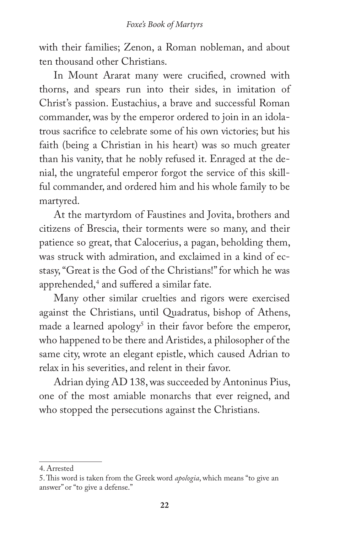with their families; Zenon, a Roman nobleman, and about ten thousand other Christians.

In Mount Ararat many were crucified, crowned with thorns, and spears run into their sides, in imitation of Christ's passion. Eustachius, a brave and successful Roman commander, was by the emperor ordered to join in an idolatrous sacrifice to celebrate some of his own victories; but his faith (being a Christian in his heart) was so much greater than his vanity, that he nobly refused it. Enraged at the denial, the ungrateful emperor forgot the service of this skillful commander, and ordered him and his whole family to be martyred.

At the martyrdom of Faustines and Jovita, brothers and citizens of Brescia, their torments were so many, and their patience so great, that Calocerius, a pagan, beholding them, was struck with admiration, and exclaimed in a kind of ecstasy, "Great is the God of the Christians!" for which he was apprehended,4 and suffered a similar fate.

Many other similar cruelties and rigors were exercised against the Christians, until Quadratus, bishop of Athens, made a learned apology<sup>5</sup> in their favor before the emperor, who happened to be there and Aristides, a philosopher of the same city, wrote an elegant epistle, which caused Adrian to relax in his severities, and relent in their favor.

Adrian dying AD 138, was succeeded by Antoninus Pius, one of the most amiable monarchs that ever reigned, and who stopped the persecutions against the Christians.

<sup>4.</sup> Arrested

<sup>5.</sup> This word is taken from the Greek word *apologia*, which means "to give an answer" or "to give a defense."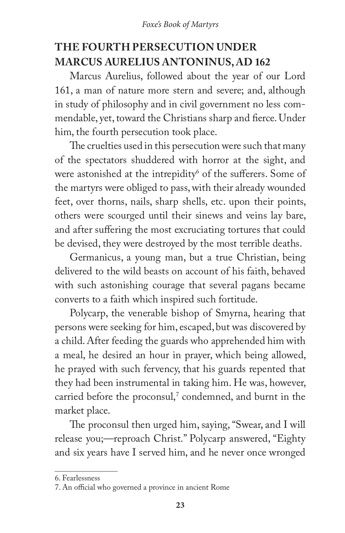### **THE FOURTH PERSECUTION UNDER MARCUS AURELIUS ANTONINUS, AD 162**

Marcus Aurelius, followed about the year of our Lord 161, a man of nature more stern and severe; and, although in study of philosophy and in civil government no less commendable, yet, toward the Christians sharp and fierce. Under him, the fourth persecution took place.

The cruelties used in this persecution were such that many of the spectators shuddered with horror at the sight, and were astonished at the intrepidity<sup>6</sup> of the sufferers. Some of the martyrs were obliged to pass, with their already wounded feet, over thorns, nails, sharp shells, etc. upon their points, others were scourged until their sinews and veins lay bare, and after suffering the most excruciating tortures that could be devised, they were destroyed by the most terrible deaths.

Germanicus, a young man, but a true Christian, being delivered to the wild beasts on account of his faith, behaved with such astonishing courage that several pagans became converts to a faith which inspired such fortitude.

Polycarp, the venerable bishop of Smyrna, hearing that persons were seeking for him, escaped, but was discovered by a child. After feeding the guards who apprehended him with a meal, he desired an hour in prayer, which being allowed, he prayed with such fervency, that his guards repented that they had been instrumental in taking him. He was, however, carried before the proconsul,<sup>7</sup> condemned, and burnt in the market place.

The proconsul then urged him, saying, "Swear, and I will release you;—reproach Christ." Polycarp answered, "Eighty and six years have I served him, and he never once wronged

<sup>6.</sup> Fearlessness

<sup>7.</sup> An official who governed a province in ancient Rome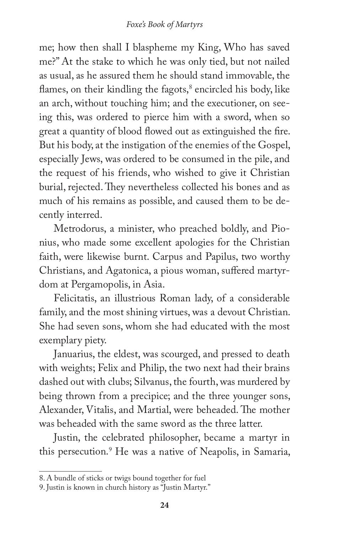me; how then shall I blaspheme my King, Who has saved me?" At the stake to which he was only tied, but not nailed as usual, as he assured them he should stand immovable, the flames, on their kindling the fagots, $^{\rm 8}$  encircled his body, like an arch, without touching him; and the executioner, on seeing this, was ordered to pierce him with a sword, when so great a quantity of blood flowed out as extinguished the fire. But his body, at the instigation of the enemies of the Gospel, especially Jews, was ordered to be consumed in the pile, and the request of his friends, who wished to give it Christian burial, rejected. They nevertheless collected his bones and as much of his remains as possible, and caused them to be decently interred.

Metrodorus, a minister, who preached boldly, and Pionius, who made some excellent apologies for the Christian faith, were likewise burnt. Carpus and Papilus, two worthy Christians, and Agatonica, a pious woman, suffered martyrdom at Pergamopolis, in Asia.

Felicitatis, an illustrious Roman lady, of a considerable family, and the most shining virtues, was a devout Christian. She had seven sons, whom she had educated with the most exemplary piety.

Januarius, the eldest, was scourged, and pressed to death with weights; Felix and Philip, the two next had their brains dashed out with clubs; Silvanus, the fourth, was murdered by being thrown from a precipice; and the three younger sons, Alexander, Vitalis, and Martial, were beheaded. The mother was beheaded with the same sword as the three latter.

Justin, the celebrated philosopher, became a martyr in this persecution.9 He was a native of Neapolis, in Samaria,

<sup>8.</sup> A bundle of sticks or twigs bound together for fuel

<sup>9.</sup> Justin is known in church history as "Justin Martyr."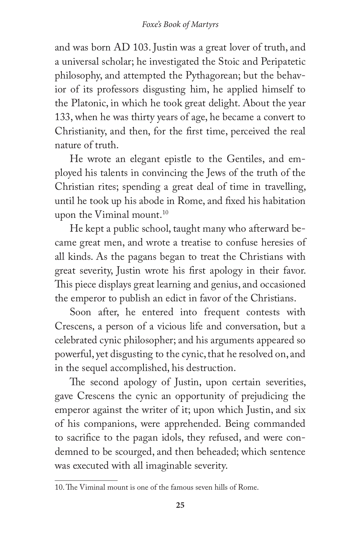#### *Foxe's Book of Martyrs*

and was born AD 103. Justin was a great lover of truth, and a universal scholar; he investigated the Stoic and Peripatetic philosophy, and attempted the Pythagorean; but the behavior of its professors disgusting him, he applied himself to the Platonic, in which he took great delight. About the year 133, when he was thirty years of age, he became a convert to Christianity, and then, for the first time, perceived the real nature of truth.

He wrote an elegant epistle to the Gentiles, and employed his talents in convincing the Jews of the truth of the Christian rites; spending a great deal of time in travelling, until he took up his abode in Rome, and fixed his habitation upon the Viminal mount.<sup>10</sup>

He kept a public school, taught many who afterward became great men, and wrote a treatise to confuse heresies of all kinds. As the pagans began to treat the Christians with great severity, Justin wrote his first apology in their favor. This piece displays great learning and genius, and occasioned the emperor to publish an edict in favor of the Christians.

Soon after, he entered into frequent contests with Crescens, a person of a vicious life and conversation, but a celebrated cynic philosopher; and his arguments appeared so powerful, yet disgusting to the cynic, that he resolved on, and in the sequel accomplished, his destruction.

The second apology of Justin, upon certain severities, gave Crescens the cynic an opportunity of prejudicing the emperor against the writer of it; upon which Justin, and six of his companions, were apprehended. Being commanded to sacrifice to the pagan idols, they refused, and were condemned to be scourged, and then beheaded; which sentence was executed with all imaginable severity.

<sup>10.</sup> The Viminal mount is one of the famous seven hills of Rome.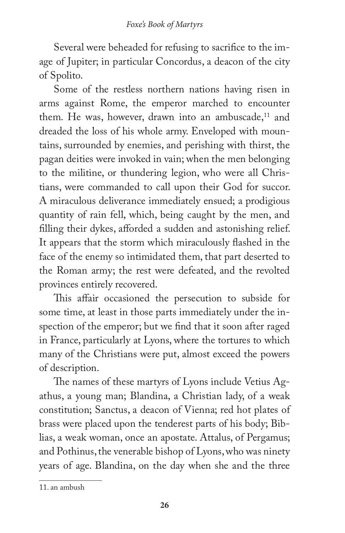Several were beheaded for refusing to sacrifice to the image of Jupiter; in particular Concordus, a deacon of the city of Spolito.

Some of the restless northern nations having risen in arms against Rome, the emperor marched to encounter them. He was, however, drawn into an ambuscade, $11$  and dreaded the loss of his whole army. Enveloped with mountains, surrounded by enemies, and perishing with thirst, the pagan deities were invoked in vain; when the men belonging to the militine, or thundering legion, who were all Christians, were commanded to call upon their God for succor. A miraculous deliverance immediately ensued; a prodigious quantity of rain fell, which, being caught by the men, and filling their dykes, afforded a sudden and astonishing relief. It appears that the storm which miraculously flashed in the face of the enemy so intimidated them, that part deserted to the Roman army; the rest were defeated, and the revolted provinces entirely recovered.

This affair occasioned the persecution to subside for some time, at least in those parts immediately under the inspection of the emperor; but we find that it soon after raged in France, particularly at Lyons, where the tortures to which many of the Christians were put, almost exceed the powers of description.

The names of these martyrs of Lyons include Vetius Agathus, a young man; Blandina, a Christian lady, of a weak constitution; Sanctus, a deacon of Vienna; red hot plates of brass were placed upon the tenderest parts of his body; Biblias, a weak woman, once an apostate. Attalus, of Pergamus; and Pothinus, the venerable bishop of Lyons, who was ninety years of age. Blandina, on the day when she and the three

<sup>11.</sup> an ambush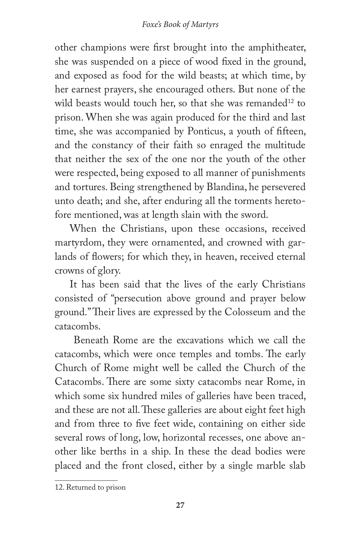other champions were first brought into the amphitheater, she was suspended on a piece of wood fixed in the ground, and exposed as food for the wild beasts; at which time, by her earnest prayers, she encouraged others. But none of the wild beasts would touch her, so that she was remanded<sup>12</sup> to prison. When she was again produced for the third and last time, she was accompanied by Ponticus, a youth of fifteen, and the constancy of their faith so enraged the multitude that neither the sex of the one nor the youth of the other were respected, being exposed to all manner of punishments and tortures. Being strengthened by Blandina, he persevered unto death; and she, after enduring all the torments heretofore mentioned, was at length slain with the sword.

When the Christians, upon these occasions, received martyrdom, they were ornamented, and crowned with garlands of flowers; for which they, in heaven, received eternal crowns of glory.

It has been said that the lives of the early Christians consisted of "persecution above ground and prayer below ground." Their lives are expressed by the Colosseum and the catacombs.

 Beneath Rome are the excavations which we call the catacombs, which were once temples and tombs. The early Church of Rome might well be called the Church of the Catacombs. There are some sixty catacombs near Rome, in which some six hundred miles of galleries have been traced, and these are not all. These galleries are about eight feet high and from three to five feet wide, containing on either side several rows of long, low, horizontal recesses, one above another like berths in a ship. In these the dead bodies were placed and the front closed, either by a single marble slab

<sup>12.</sup> Returned to prison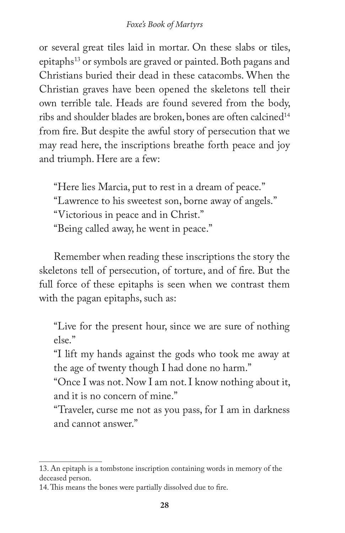or several great tiles laid in mortar. On these slabs or tiles, epitaphs<sup>13</sup> or symbols are graved or painted. Both pagans and Christians buried their dead in these catacombs. When the Christian graves have been opened the skeletons tell their own terrible tale. Heads are found severed from the body, ribs and shoulder blades are broken, bones are often calcined<sup>14</sup> from fire. But despite the awful story of persecution that we may read here, the inscriptions breathe forth peace and joy and triumph. Here are a few:

"Here lies Marcia, put to rest in a dream of peace." "Lawrence to his sweetest son, borne away of angels." "Victorious in peace and in Christ." "Being called away, he went in peace."

Remember when reading these inscriptions the story the skeletons tell of persecution, of torture, and of fire. But the full force of these epitaphs is seen when we contrast them with the pagan epitaphs, such as:

"Live for the present hour, since we are sure of nothing else."

"I lift my hands against the gods who took me away at the age of twenty though I had done no harm."

"Once I was not. Now I am not. I know nothing about it, and it is no concern of mine."

"Traveler, curse me not as you pass, for I am in darkness and cannot answer."

<sup>13.</sup> An epitaph is a tombstone inscription containing words in memory of the deceased person.

<sup>14.</sup> This means the bones were partially dissolved due to fire.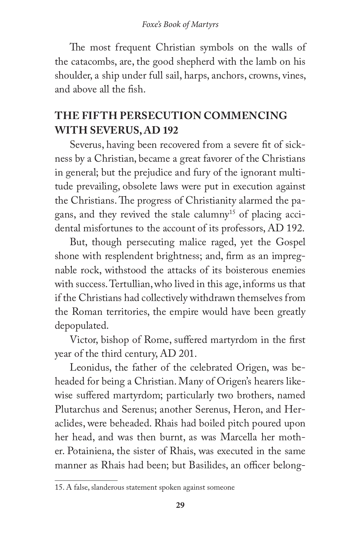The most frequent Christian symbols on the walls of the catacombs, are, the good shepherd with the lamb on his shoulder, a ship under full sail, harps, anchors, crowns, vines, and above all the fish.

#### **THE FIFTH PERSECUTION COMMENCING WITH SEVERUS, AD 192**

Severus, having been recovered from a severe fit of sickness by a Christian, became a great favorer of the Christians in general; but the prejudice and fury of the ignorant multitude prevailing, obsolete laws were put in execution against the Christians. The progress of Christianity alarmed the pagans, and they revived the stale calumny<sup>15</sup> of placing accidental misfortunes to the account of its professors, AD 192.

But, though persecuting malice raged, yet the Gospel shone with resplendent brightness; and, firm as an impregnable rock, withstood the attacks of its boisterous enemies with success. Tertullian, who lived in this age, informs us that if the Christians had collectively withdrawn themselves from the Roman territories, the empire would have been greatly depopulated.

Victor, bishop of Rome, suffered martyrdom in the first year of the third century, AD 201.

Leonidus, the father of the celebrated Origen, was beheaded for being a Christian. Many of Origen's hearers likewise suffered martyrdom; particularly two brothers, named Plutarchus and Serenus; another Serenus, Heron, and Heraclides, were beheaded. Rhais had boiled pitch poured upon her head, and was then burnt, as was Marcella her mother. Potainiena, the sister of Rhais, was executed in the same manner as Rhais had been; but Basilides, an officer belong-

<sup>15.</sup> A false, slanderous statement spoken against someone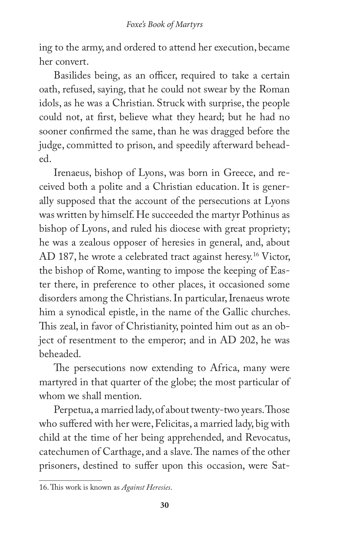ing to the army, and ordered to attend her execution, became her convert.

Basilides being, as an officer, required to take a certain oath, refused, saying, that he could not swear by the Roman idols, as he was a Christian. Struck with surprise, the people could not, at first, believe what they heard; but he had no sooner confirmed the same, than he was dragged before the judge, committed to prison, and speedily afterward beheaded.

Irenaeus, bishop of Lyons, was born in Greece, and received both a polite and a Christian education. It is generally supposed that the account of the persecutions at Lyons was written by himself. He succeeded the martyr Pothinus as bishop of Lyons, and ruled his diocese with great propriety; he was a zealous opposer of heresies in general, and, about AD 187, he wrote a celebrated tract against heresy.<sup>16</sup> Victor, the bishop of Rome, wanting to impose the keeping of Easter there, in preference to other places, it occasioned some disorders among the Christians. In particular, Irenaeus wrote him a synodical epistle, in the name of the Gallic churches. This zeal, in favor of Christianity, pointed him out as an object of resentment to the emperor; and in AD 202, he was beheaded.

The persecutions now extending to Africa, many were martyred in that quarter of the globe; the most particular of whom we shall mention.

Perpetua, a married lady, of about twenty-two years. Those who suffered with her were, Felicitas, a married lady, big with child at the time of her being apprehended, and Revocatus, catechumen of Carthage, and a slave. The names of the other prisoners, destined to suffer upon this occasion, were Sat-

<sup>16.</sup> This work is known as *Against Heresies*.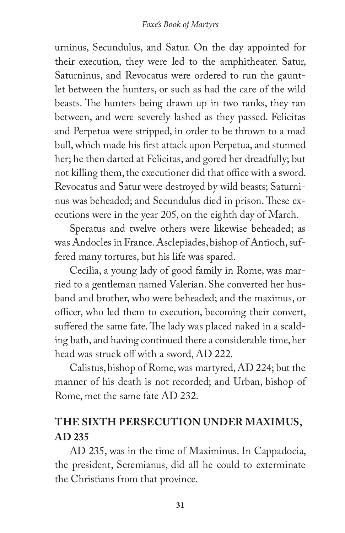urninus, Secundulus, and Satur. On the day appointed for their execution, they were led to the amphitheater. Satur, Saturninus, and Revocatus were ordered to run the gauntlet between the hunters, or such as had the care of the wild beasts. The hunters being drawn up in two ranks, they ran between, and were severely lashed as they passed. Felicitas and Perpetua were stripped, in order to be thrown to a mad bull, which made his first attack upon Perpetua, and stunned her; he then darted at Felicitas, and gored her dreadfully; but not killing them, the executioner did that office with a sword. Revocatus and Satur were destroyed by wild beasts; Saturninus was beheaded; and Secundulus died in prison. These executions were in the year 205, on the eighth day of March.

Speratus and twelve others were likewise beheaded; as was Andocles in France. Asclepiades, bishop of Antioch, suffered many tortures, but his life was spared.

Cecilia, a young lady of good family in Rome, was married to a gentleman named Valerian. She converted her husband and brother, who were beheaded; and the maximus, or officer, who led them to execution, becoming their convert, suffered the same fate. The lady was placed naked in a scalding bath, and having continued there a considerable time, her head was struck off with a sword, AD 222.

Calistus, bishop of Rome, was martyred, AD 224; but the manner of his death is not recorded; and Urban, bishop of Rome, met the same fate AD 232.

#### **THE SIXTH PERSECUTION UNDER MAXIMUS, AD 235**

AD 235, was in the time of Maximinus. In Cappadocia, the president, Seremianus, did all he could to exterminate the Christians from that province.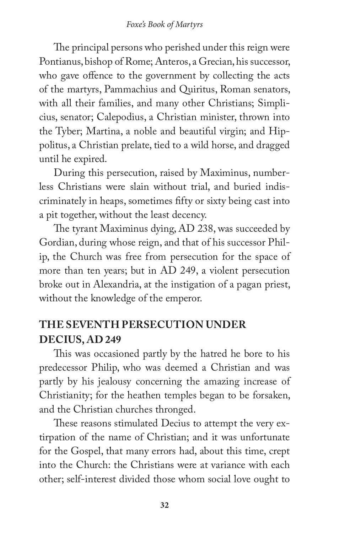The principal persons who perished under this reign were Pontianus, bishop of Rome; Anteros, a Grecian, his successor, who gave offence to the government by collecting the acts of the martyrs, Pammachius and Quiritus, Roman senators, with all their families, and many other Christians; Simplicius, senator; Calepodius, a Christian minister, thrown into the Tyber; Martina, a noble and beautiful virgin; and Hippolitus, a Christian prelate, tied to a wild horse, and dragged until he expired.

During this persecution, raised by Maximinus, numberless Christians were slain without trial, and buried indiscriminately in heaps, sometimes fifty or sixty being cast into a pit together, without the least decency.

The tyrant Maximinus dying, AD 238, was succeeded by Gordian, during whose reign, and that of his successor Philip, the Church was free from persecution for the space of more than ten years; but in AD 249, a violent persecution broke out in Alexandria, at the instigation of a pagan priest, without the knowledge of the emperor.

### **THE SEVENTH PERSECUTION UNDER DECIUS, AD 249**

This was occasioned partly by the hatred he bore to his predecessor Philip, who was deemed a Christian and was partly by his jealousy concerning the amazing increase of Christianity; for the heathen temples began to be forsaken, and the Christian churches thronged.

These reasons stimulated Decius to attempt the very extirpation of the name of Christian; and it was unfortunate for the Gospel, that many errors had, about this time, crept into the Church: the Christians were at variance with each other; self-interest divided those whom social love ought to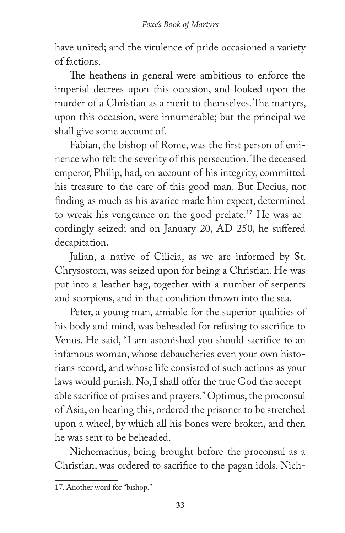have united; and the virulence of pride occasioned a variety of factions.

The heathens in general were ambitious to enforce the imperial decrees upon this occasion, and looked upon the murder of a Christian as a merit to themselves. The martyrs, upon this occasion, were innumerable; but the principal we shall give some account of.

Fabian, the bishop of Rome, was the first person of eminence who felt the severity of this persecution. The deceased emperor, Philip, had, on account of his integrity, committed his treasure to the care of this good man. But Decius, not finding as much as his avarice made him expect, determined to wreak his vengeance on the good prelate.17 He was accordingly seized; and on January 20, AD 250, he suffered decapitation.

Julian, a native of Cilicia, as we are informed by St. Chrysostom, was seized upon for being a Christian. He was put into a leather bag, together with a number of serpents and scorpions, and in that condition thrown into the sea.

Peter, a young man, amiable for the superior qualities of his body and mind, was beheaded for refusing to sacrifice to Venus. He said, "I am astonished you should sacrifice to an infamous woman, whose debaucheries even your own historians record, and whose life consisted of such actions as your laws would punish. No, I shall offer the true God the acceptable sacrifice of praises and prayers." Optimus, the proconsul of Asia, on hearing this, ordered the prisoner to be stretched upon a wheel, by which all his bones were broken, and then he was sent to be beheaded.

Nichomachus, being brought before the proconsul as a Christian, was ordered to sacrifice to the pagan idols. Nich-

<sup>17.</sup> Another word for "bishop."